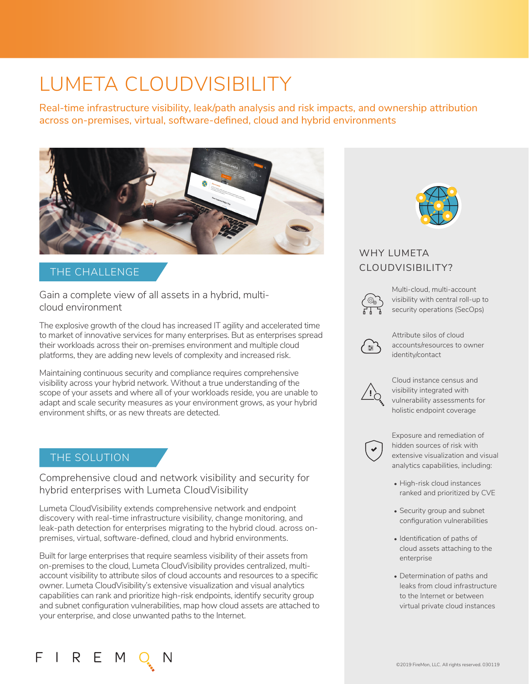# LUMETA CLOUDVISIBILITY

Real-time infrastructure visibility, leak/path analysis and risk impacts, and ownership attribution across on-premises, virtual, software-defined, cloud and hybrid environments



## THE CHALLENGE

Gain a complete view of all assets in a hybrid, multicloud environment

The explosive growth of the cloud has increased IT agility and accelerated time to market of innovative services for many enterprises. But as enterprises spread their workloads across their on-premises environment and multiple cloud platforms, they are adding new levels of complexity and increased risk.

Maintaining continuous security and compliance requires comprehensive visibility across your hybrid network. Without a true understanding of the scope of your assets and where all of your workloads reside, you are unable to adapt and scale security measures as your environment grows, as your hybrid environment shifts, or as new threats are detected.

### THE SOLUTION

Comprehensive cloud and network visibility and security for hybrid enterprises with Lumeta CloudVisibility

Lumeta CloudVisibility extends comprehensive network and endpoint discovery with real-time infrastructure visibility, change monitoring, and leak-path detection for enterprises migrating to the hybrid cloud. across onpremises, virtual, software-defined, cloud and hybrid environments.

Built for large enterprises that require seamless visibility of their assets from on-premises to the cloud, Lumeta CloudVisibility provides centralized, multiaccount visibility to attribute silos of cloud accounts and resources to a specific owner. Lumeta CloudVisibility's extensive visualization and visual analytics capabilities can rank and prioritize high-risk endpoints, identify security group and subnet configuration vulnerabilities, map how cloud assets are attached to your enterprise, and close unwanted paths to the Internet.



# WHY LUMETA CLOUDVISIBILITY?



Multi-cloud, multi-account visibility with central roll-up to security operations (SecOps)



Attribute silos of cloud accounts/resources to owner identity/contact



Cloud instance census and visibility integrated with vulnerability assessments for holistic endpoint coverage



Exposure and remediation of hidden sources of risk with extensive visualization and visual analytics capabilities, including:

- High-risk cloud instances ranked and prioritized by CVE
- Security group and subnet configuration vulnerabilities
- Identification of paths of cloud assets attaching to the enterprise
- Determination of paths and leaks from cloud infrastructure to the Internet or between virtual private cloud instances